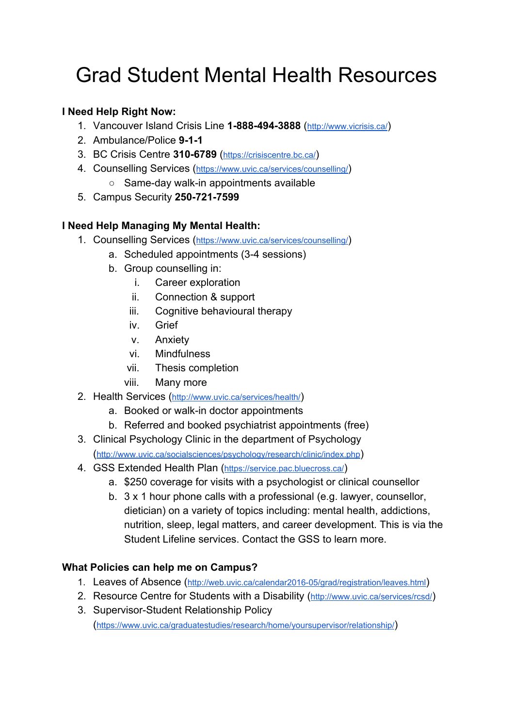# Grad Student Mental Health Resources

## **I Need Help Right Now:**

- 1. Vancouver Island Crisis Line **1-888-494-3888** (<http://www.vicrisis.ca/>)
- 2. Ambulance/Police **9-1-1**
- 3. BC Crisis Centre **310-6789** (<https://crisiscentre.bc.ca/>)
- 4. Counselling Services (<https://www.uvic.ca/services/counselling/>)
	- Same-day walk-in appointments available
- 5. Campus Security **250-721-7599**

## **I Need Help Managing My Mental Health:**

- 1. Counselling Services (<https://www.uvic.ca/services/counselling/>)
	- a. Scheduled appointments (3-4 sessions)
	- b. Group counselling in:
		- i. Career exploration
		- ii. Connection & support
		- iii. Cognitive behavioural therapy
		- iv. Grief
		- v. Anxiety
		- vi. Mindfulness
		- vii. Thesis completion
		- viii. Many more
- 2. Health Services (<http://www.uvic.ca/services/health/>)
	- a. Booked or walk-in doctor appointments
	- b. Referred and booked psychiatrist appointments (free)
- 3. Clinical Psychology Clinic in the department of Psychology (<http://www.uvic.ca/socialsciences/psychology/research/clinic/index.php>)
- 4. GSS Extended Health Plan (<https://service.pac.bluecross.ca/>)
	- a. \$250 coverage for visits with a psychologist or clinical counsellor
	- b. 3 x 1 hour phone calls with a professional (e.g. lawyer, counsellor, dietician) on a variety of topics including: mental health, addictions, nutrition, sleep, legal matters, and career development. This is via the Student Lifeline services. Contact the GSS to learn more.

## **What Policies can help me on Campus?**

- 1. Leaves of Absence (<http://web.uvic.ca/calendar2016-05/grad/registration/leaves.html>)
- 2. Resource Centre for Students with a Disability (<http://www.uvic.ca/services/rcsd/>)
- 3. Supervisor-Student Relationship Policy (<https://www.uvic.ca/graduatestudies/research/home/yoursupervisor/relationship/>)